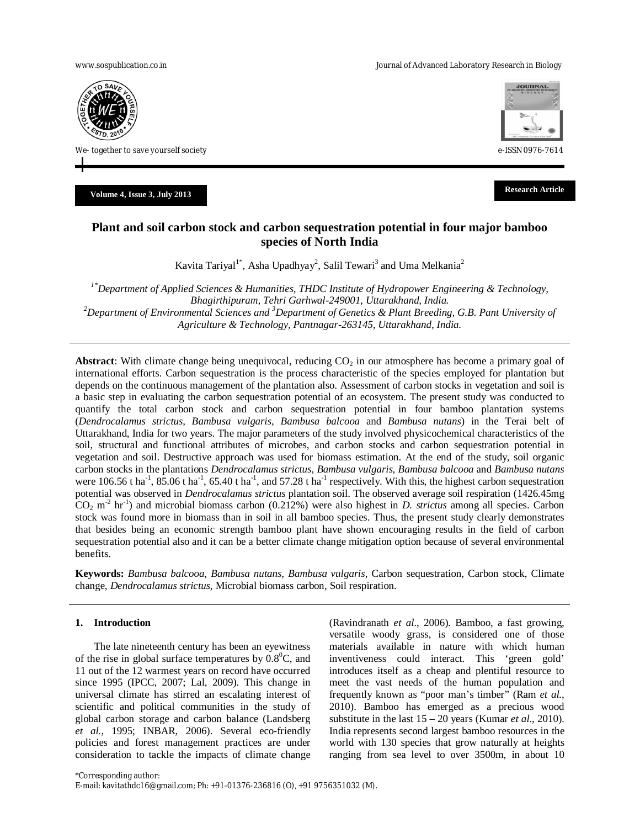www.sospublication.co.in **Variable 2018** and the Journal of Advanced Laboratory Research in Biology



We- together to save yourself society e-ISSN 0976-7614

**Volume 4, Issue 3, July <sup>2013</sup> Research Article**



# **Plant and soil carbon stock and carbon sequestration potential in four major bamboo species of North India**

Kavita Tariyal<sup>1\*</sup>, Asha Upadhyay<sup>2</sup>, Salil Tewari<sup>3</sup> and Uma Melkania<sup>2</sup>

*1\*Department of Applied Sciences & Humanities, THDC Institute of Hydropower Engineering & Technology, Bhagirthipuram, Tehri Garhwal-249001, Uttarakhand, India. <sup>2</sup>Department of Environmental Sciences and <sup>3</sup>Department of Genetics & Plant Breeding, G.B. Pant University of Agriculture & Technology, Pantnagar-263145, Uttarakhand, India.*

**Abstract**: With climate change being unequivocal, reducing  $CO<sub>2</sub>$  in our atmosphere has become a primary goal of international efforts. Carbon sequestration is the process characteristic of the species employed for plantation but depends on the continuous management of the plantation also. Assessment of carbon stocks in vegetation and soil is a basic step in evaluating the carbon sequestration potential of an ecosystem. The present study was conducted to quantify the total carbon stock and carbon sequestration potential in four bamboo plantation systems (*Dendrocalamus strictus*, *Bambusa vulgaris, Bambusa balcooa* and *Bambusa nutans*) in the Terai belt of Uttarakhand, India for two years. The major parameters of the study involved physicochemical characteristics of the soil, structural and functional attributes of microbes, and carbon stocks and carbon sequestration potential in vegetation and soil. Destructive approach was used for biomass estimation. At the end of the study, soil organic carbon stocks in the plantations *Dendrocalamus strictus*, *Bambusa vulgaris, Bambusa balcooa* and *Bambusa nutans* were 106.56 t ha<sup>-1</sup>, 85.06 t ha<sup>-1</sup>, 65.40 t ha<sup>-1</sup>, and 57.28 t ha<sup>-1</sup> respectively. With this, the highest carbon sequestration potential was observed in *Dendrocalamus strictus* plantation soil. The observed average soil respiration (1426.45mg  $CO<sub>2</sub>$  m<sup>-2</sup> hr<sup>-1</sup>) and microbial biomass carbon (0.212%) were also highest in *D. strictus* among all species. Carbon stock was found more in biomass than in soil in all bamboo species. Thus, the present study clearly demonstrates that besides being an economic strength bamboo plant have shown encouraging results in the field of carbon sequestration potential also and it can be a better climate change mitigation option because of several environmental benefits.

**Keywords:** *Bambusa balcooa*, *Bambusa nutans*, *Bambusa vulgaris*, Carbon sequestration, Carbon stock, Climate change, *Dendrocalamus strictus*, Microbial biomass carbon, Soil respiration.

## **1. Introduction**

The late nineteenth century has been an eyewitness of the rise in global surface temperatures by  $0.8^{\circ}$ C, and 11 out of the 12 warmest years on record have occurred since 1995 (IPCC, 2007; Lal, 2009). This change in universal climate has stirred an escalating interest of scientific and political communities in the study of global carbon storage and carbon balance (Landsberg *et al.*, 1995; INBAR, 2006). Several eco-friendly policies and forest management practices are under consideration to tackle the impacts of climate change (Ravindranath *et al*., 2006). Bamboo, a fast growing, versatile woody grass, is considered one of those materials available in nature with which human inventiveness could interact. This 'green gold' introduces itself as a cheap and plentiful resource to meet the vast needs of the human population and frequently known as "poor man's timber" (Ram *et al.*, 2010). Bamboo has emerged as a precious wood substitute in the last 15 – 20 years (Kumar *et al*., 2010). India represents second largest bamboo resources in the world with 130 species that grow naturally at heights ranging from sea level to over 3500m, in about 10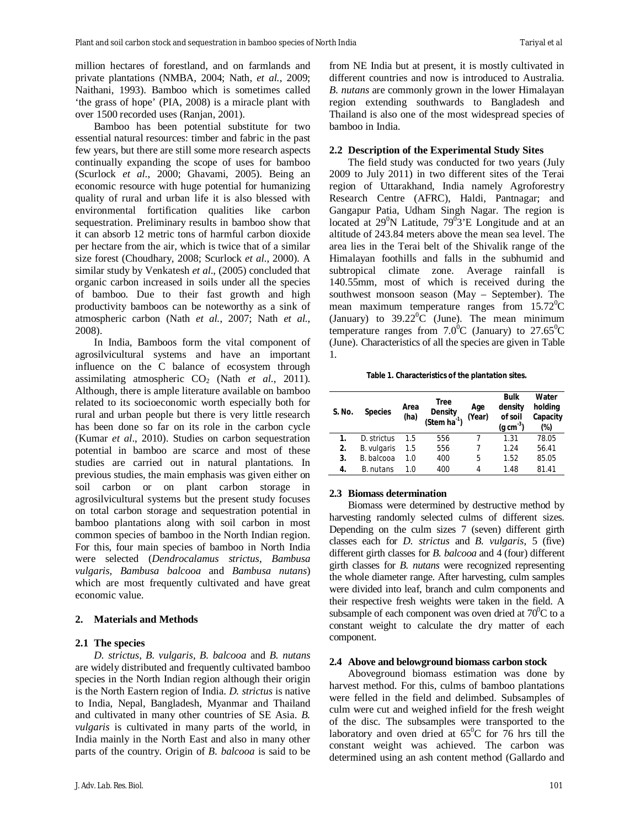million hectares of forestland, and on farmlands and private plantations (NMBA, 2004; Nath, *et al.*, 2009; Naithani, 1993). Bamboo which is sometimes called 'the grass of hope' (PIA, 2008) is a miracle plant with over 1500 recorded uses (Ranjan, 2001).

Bamboo has been potential substitute for two essential natural resources: timber and fabric in the past few years, but there are still some more research aspects continually expanding the scope of uses for bamboo (Scurlock *et al*., 2000; Ghavami, 2005). Being an economic resource with huge potential for humanizing quality of rural and urban life it is also blessed with environmental fortification qualities like carbon sequestration. Preliminary results in bamboo show that it can absorb 12 metric tons of harmful carbon dioxide per hectare from the air, which is twice that of a similar size forest (Choudhary, 2008; Scurlock *et al*., 2000). A similar study by Venkatesh *et al*., (2005) concluded that organic carbon increased in soils under all the species of bamboo. Due to their fast growth and high productivity bamboos can be noteworthy as a sink of atmospheric carbon (Nath *et al.*, 2007; Nath *et al.*, 2008).

In India, Bamboos form the vital component of agrosilvicultural systems and have an important influence on the C balance of ecosystem through assimilating atmospheric  $CO<sub>2</sub>$  (Nath *et al.*, 2011). Although, there is ample literature available on bamboo related to its socioeconomic worth especially both for rural and urban people but there is very little research has been done so far on its role in the carbon cycle (Kumar *et al*., 2010). Studies on carbon sequestration potential in bamboo are scarce and most of these studies are carried out in natural plantations. In previous studies, the main emphasis was given either on soil carbon or on plant carbon storage in agrosilvicultural systems but the present study focuses on total carbon storage and sequestration potential in bamboo plantations along with soil carbon in most common species of bamboo in the North Indian region. For this, four main species of bamboo in North India were selected (*Dendrocalamus strictus*, *Bambusa vulgaris, Bambusa balcooa* and *Bambusa nutans*) which are most frequently cultivated and have great economic value.

#### **2. Materials and Methods**

#### **2.1 The species**

*D. strictus*, *B. vulgaris*, *B. balcooa* and *B. nutans* are widely distributed and frequently cultivated bamboo species in the North Indian region although their origin is the North Eastern region of India. *D. strictus* is native to India, Nepal, Bangladesh, Myanmar and Thailand and cultivated in many other countries of SE Asia. *B. vulgaris* is cultivated in many parts of the world, in India mainly in the North East and also in many other parts of the country. Origin of *B. balcooa* is said to be from NE India but at present, it is mostly cultivated in different countries and now is introduced to Australia. *B. nutans* are commonly grown in the lower Himalayan region extending southwards to Bangladesh and Thailand is also one of the most widespread species of bamboo in India.

#### **2.2 Description of the Experimental Study Sites**

The field study was conducted for two years (July 2009 to July 2011) in two different sites of the Terai region of Uttarakhand, India namely Agroforestry Research Centre (AFRC), Haldi, Pantnagar; and Gangapur Patia, Udham Singh Nagar. The region is located at  $29^{\circ}$ N Latitude,  $79^{\circ}$ 3'E Longitude and at an altitude of 243.84 meters above the mean sea level. The area lies in the Terai belt of the Shivalik range of the Himalayan foothills and falls in the subhumid and subtropical climate zone. Average rainfall is 140.55mm, most of which is received during the southwest monsoon season (May – September). The mean maximum temperature ranges from  $15.72^{\circ}$ C (January) to  $39.22^{\circ}$ C (June). The mean minimum temperature ranges from  $7.0^{\circ}$ C (January) to  $27.65^{\circ}$ C (June). Characteristics of all the species are given in Table 1.

**Table 1. Characteristics of the plantation sites.**

| S. No. | <b>Species</b> | Area<br>(ha) | <b>Tree</b><br><b>Density</b><br>$(Stem ha-1)$ | Age<br>(Year) | <b>Bulk</b><br>density<br>of soil<br>$(a \, cm^{-3})$ | Water<br>holding<br>Capacity<br>(%) |
|--------|----------------|--------------|------------------------------------------------|---------------|-------------------------------------------------------|-------------------------------------|
| 1.     | D. strictus    | 1.5          | 556                                            |               | 1.31                                                  | 78.05                               |
| 2.     | B. vulgaris    | $1.5\,$      | 556                                            |               | 1.24                                                  | 56.41                               |
| 3.     | B. balcooa     | 1.0          | 400                                            | 5             | 1.52                                                  | 85.05                               |
| 4.     | B. nutans      | 1.0          | 400                                            | 4             | 1.48                                                  | 81.41                               |

#### **2.3 Biomass determination**

Biomass were determined by destructive method by harvesting randomly selected culms of different sizes. Depending on the culm sizes 7 (seven) different girth classes each for *D. strictus* and *B. vulgaris*, 5 (five) different girth classes for *B. balcooa* and 4 (four) different girth classes for *B. nutans* were recognized representing the whole diameter range. After harvesting, culm samples were divided into leaf, branch and culm components and their respective fresh weights were taken in the field. A subsample of each component was oven dried at  $70^0C$  to a constant weight to calculate the dry matter of each component.

#### **2.4 Above and belowground biomass carbon stock**

Aboveground biomass estimation was done by harvest method. For this, culms of bamboo plantations were felled in the field and delimbed. Subsamples of culm were cut and weighed infield for the fresh weight of the disc. The subsamples were transported to the laboratory and oven dried at  $65^{\circ}$ C for 76 hrs till the constant weight was achieved. The carbon was determined using an ash content method (Gallardo and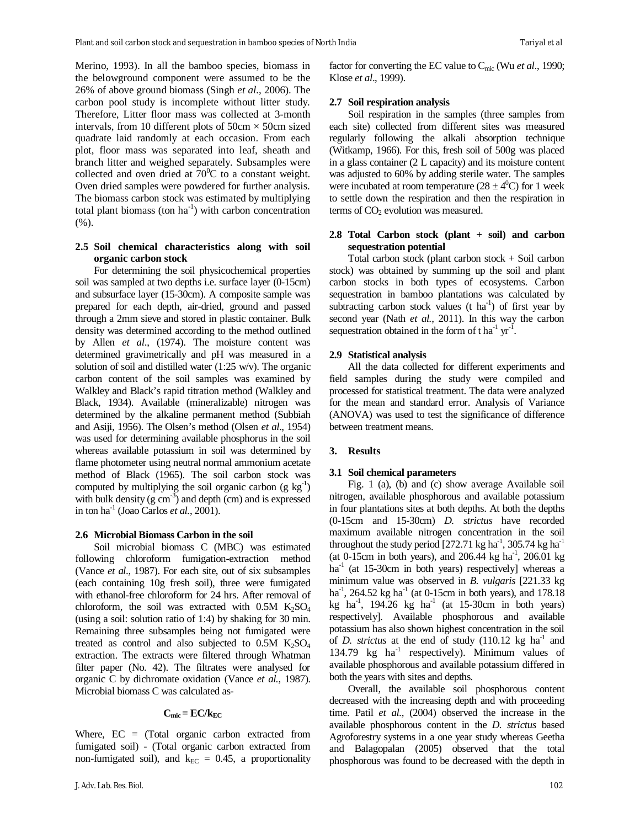Merino, 1993). In all the bamboo species, biomass in the belowground component were assumed to be the 26% of above ground biomass (Singh *et al*., 2006). The carbon pool study is incomplete without litter study. Therefore, Litter floor mass was collected at 3-month intervals, from 10 different plots of  $50 \text{cm} \times 50 \text{cm}$  sized quadrate laid randomly at each occasion. From each plot, floor mass was separated into leaf, sheath and branch litter and weighed separately. Subsamples were collected and oven dried at  $70^{\circ}$ C to a constant weight. Oven dried samples were powdered for further analysis. The biomass carbon stock was estimated by multiplying total plant biomass (ton  $ha^{-1}$ ) with carbon concentration  $(%).$ 

## **2.5 Soil chemical characteristics along with soil organic carbon stock**

For determining the soil physicochemical properties soil was sampled at two depths i.e. surface layer (0-15cm) and subsurface layer (15-30cm). A composite sample was prepared for each depth, air-dried, ground and passed through a 2mm sieve and stored in plastic container. Bulk density was determined according to the method outlined by Allen *et al*., (1974). The moisture content was determined gravimetrically and pH was measured in a solution of soil and distilled water (1:25 w/v). The organic carbon content of the soil samples was examined by Walkley and Black's rapid titration method (Walkley and Black, 1934). Available (mineralizable) nitrogen was determined by the alkaline permanent method (Subbiah and Asiji, 1956). The Olsen's method (Olsen *et al*., 1954) was used for determining available phosphorus in the soil whereas available potassium in soil was determined by flame photometer using neutral normal ammonium acetate method of Black (1965). The soil carbon stock was computed by multiplying the soil organic carbon  $(g \ kg^{-1})$ with bulk density  $(g \text{ cm}^{-3})$  and depth (cm) and is expressed in ton ha-1 (Joao Carlos *et al.*, 2001).

### **2.6 Microbial Biomass Carbon in the soil**

Soil microbial biomass C (MBC) was estimated following chloroform fumigation-extraction method (Vance *et al*., 1987). For each site, out of six subsamples (each containing 10g fresh soil), three were fumigated with ethanol-free chloroform for 24 hrs. After removal of chloroform, the soil was extracted with  $0.5M$  K<sub>2</sub>SO<sub>4</sub> (using a soil: solution ratio of 1:4) by shaking for 30 min. Remaining three subsamples being not fumigated were treated as control and also subjected to  $0.5M$  K<sub>2</sub>SO<sub>4</sub> extraction. The extracts were filtered through Whatman filter paper (No. 42). The filtrates were analysed for organic C by dichromate oxidation (Vance *et al.*, 1987). Microbial biomass C was calculated as-

## $C_{\text{mic}} = EC/k_{EC}$

Where, EC = (Total organic carbon extracted from fumigated soil) - (Total organic carbon extracted from non-fumigated soil), and  $k_{EC} = 0.45$ , a proportionality factor for converting the EC value to Cmic (Wu *et al*., 1990; Klose *et al*., 1999).

#### **2.7 Soil respiration analysis**

Soil respiration in the samples (three samples from each site) collected from different sites was measured regularly following the alkali absorption technique (Witkamp, 1966). For this, fresh soil of 500g was placed in a glass container (2 L capacity) and its moisture content was adjusted to 60% by adding sterile water. The samples were incubated at room temperature  $(28 \pm 4^0C)$  for 1 week to settle down the respiration and then the respiration in terms of  $CO<sub>2</sub>$  evolution was measured.

## **2.8 Total Carbon stock (plant + soil) and carbon sequestration potential**

Total carbon stock (plant carbon stock + Soil carbon stock) was obtained by summing up the soil and plant carbon stocks in both types of ecosystems. Carbon sequestration in bamboo plantations was calculated by subtracting carbon stock values  $(t \text{ ha}^{-1})$  of first year by second year (Nath *et al.*, 2011). In this way the carbon sequestration obtained in the form of t ha<sup>-1</sup>  $yr^{-1}$ .

### **2.9 Statistical analysis**

All the data collected for different experiments and field samples during the study were compiled and processed for statistical treatment. The data were analyzed for the mean and standard error. Analysis of Variance (ANOVA) was used to test the significance of difference between treatment means.

#### **3. Results**

#### **3.1 Soil chemical parameters**

Fig. 1 (a), (b) and (c) show average Available soil nitrogen, available phosphorous and available potassium in four plantations sites at both depths. At both the depths (0-15cm and 15-30cm) *D. strictus* have recorded maximum available nitrogen concentration in the soil throughout the study period  $[272.71 \text{ kg ha}^{-1}, 305.74 \text{ kg ha}^{-1}]$ (at 0-15cm in both years), and  $206.44$  kg ha<sup>-1</sup>,  $206.01$  kg ha<sup>-1</sup> (at 15-30cm in both years) respectively] whereas a minimum value was observed in *B. vulgaris* [221.33 kg ha<sup>-1</sup>, 264.52 kg ha<sup>-1</sup> (at 0-15cm in both years), and 178.18 kg ha<sup>-1</sup>, 194.26 kg ha<sup>-1</sup> (at 15-30cm in both years) respectively]. Available phosphorous and available potassium has also shown highest concentration in the soil of *D. strictus* at the end of study  $(110.12 \text{ kg ha}^{-1})$  and 134.79 kg ha<sup>-1</sup> respectively). Minimum values of available phosphorous and available potassium differed in both the years with sites and depths.

Overall, the available soil phosphorous content decreased with the increasing depth and with proceeding time. Patil *et al.,* (2004) observed the increase in the available phosphorous content in the *D. strictus* based Agroforestry systems in a one year study whereas Geetha and Balagopalan (2005) observed that the total phosphorous was found to be decreased with the depth in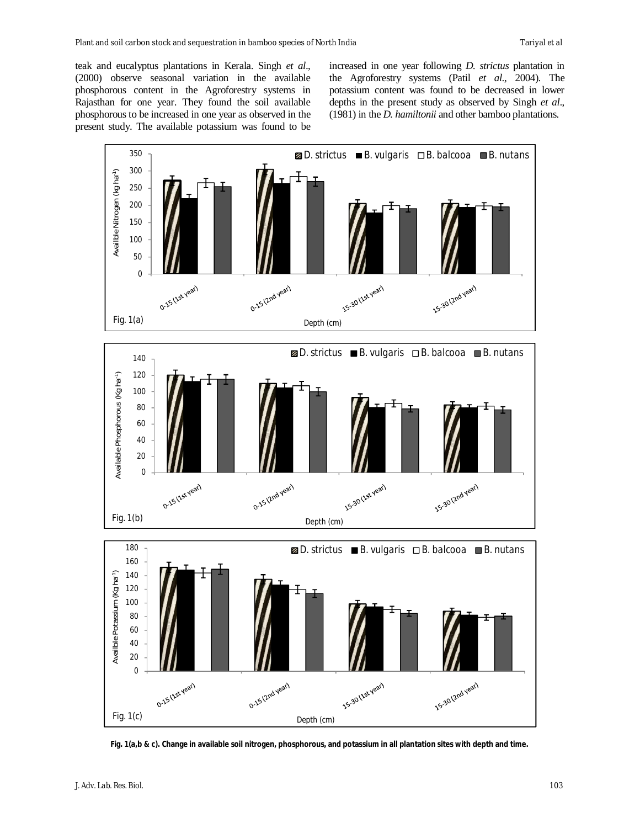teak and eucalyptus plantations in Kerala. Singh *et al*., (2000) observe seasonal variation in the available phosphorous content in the Agroforestry systems in Rajasthan for one year. They found the soil available phosphorous to be increased in one year as observed in the present study. The available potassium was found to be increased in one year following *D. strictus* plantation in the Agroforestry systems (Patil *et al*., 2004). The potassium content was found to be decreased in lower depths in the present study as observed by Singh *et al*., (1981) in the *D. hamiltonii* and other bamboo plantations.



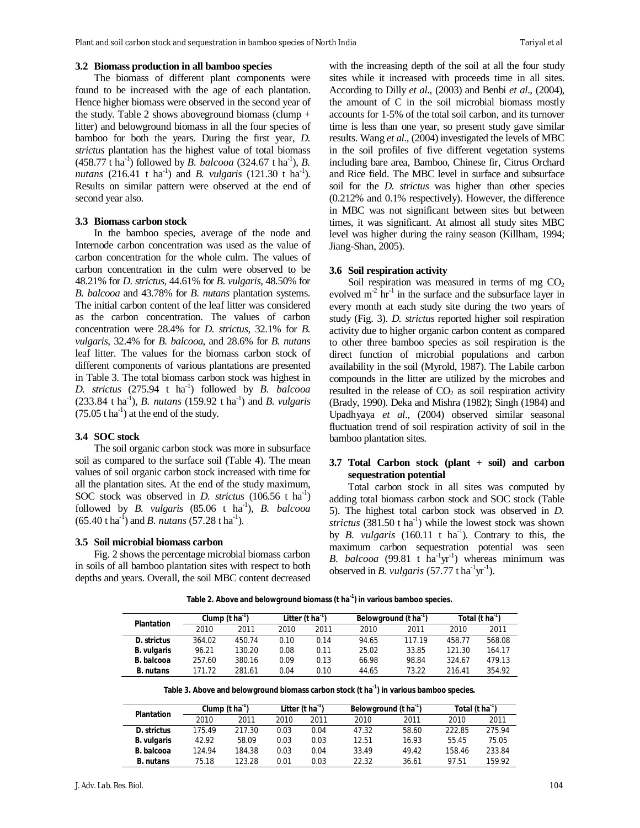### **3.2 Biomass production in all bamboo species**

The biomass of different plant components were found to be increased with the age of each plantation. Hence higher biomass were observed in the second year of the study. Table 2 shows above ground biomass (clump  $+$ litter) and belowground biomass in all the four species of bamboo for both the years. During the first year, *D. strictus* plantation has the highest value of total biomass  $(458.77 \text{ t} \text{ ha}^{-1})$  followed by *B. balcooa*  $(324.67 \text{ t} \text{ ha}^{-1})$ , *B. nutans* (216.41 t ha<sup>-1</sup>) and *B. vulgaris* (121.30 t ha<sup>-1</sup>). Results on similar pattern were observed at the end of second year also.

#### **3.3 Biomass carbon stock**

In the bamboo species, average of the node and Internode carbon concentration was used as the value of carbon concentration for the whole culm. The values of carbon concentration in the culm were observed to be 48.21% for *D. strictus*, 44.61% for *B. vulgaris*, 48.50% for *B. balcooa* and 43.78% for *B. nutans* plantation systems. The initial carbon content of the leaf litter was considered as the carbon concentration. The values of carbon concentration were 28.4% for *D. strictus*, 32.1% for *B. vulgaris*, 32.4% for *B. balcooa*, and 28.6% for *B. nutans* leaf litter. The values for the biomass carbon stock of different components of various plantations are presented in Table 3. The total biomass carbon stock was highest in *D. strictus* (275.94 t ha-1 ) followed by *B. balcooa* (233.84 t ha<sup>-1</sup>), *B. nutans* (159.92 t ha<sup>-1</sup>) and *B. vulgaris*  $(75.05 \text{ t} \text{ ha}^{-1})$  at the end of the study.

#### **3.4 SOC stock**

The soil organic carbon stock was more in subsurface soil as compared to the surface soil (Table 4). The mean values of soil organic carbon stock increased with time for all the plantation sites. At the end of the study maximum, SOC stock was observed in *D. strictus* (106.56 t ha<sup>-1</sup>) followed by *B. vulgaris* (85.06 t ha<sup>-1</sup>), *B. balcooa*  $(65.40 \text{ t} \text{ ha}^{-1})$  and *B. nutans*  $(57.28 \text{ t} \text{ ha}^{-1})$ .

#### **3.5 Soil microbial biomass carbon**

Fig. 2 shows the percentage microbial biomass carbon in soils of all bamboo plantation sites with respect to both depths and years. Overall, the soil MBC content decreased with the increasing depth of the soil at all the four study sites while it increased with proceeds time in all sites. According to Dilly *et al*., (2003) and Benbi *et al*., (2004), the amount of C in the soil microbial biomass mostly accounts for 1-5% of the total soil carbon, and its turnover time is less than one year, so present study gave similar results. Wang *et al*., (2004) investigated the levels of MBC in the soil profiles of five different vegetation systems including bare area, Bamboo, Chinese fir, Citrus Orchard and Rice field. The MBC level in surface and subsurface soil for the *D. strictus* was higher than other species (0.212% and 0.1% respectively). However, the difference in MBC was not significant between sites but between times, it was significant. At almost all study sites MBC level was higher during the rainy season (Killham, 1994; Jiang-Shan, 2005).

## **3.6 Soil respiration activity**

Soil respiration was measured in terms of mg  $CO<sub>2</sub>$ evolved  $m^2$  hr<sup>-1</sup> in the surface and the subsurface layer in every month at each study site during the two years of study (Fig. 3). *D. strictus* reported higher soil respiration activity due to higher organic carbon content as compared to other three bamboo species as soil respiration is the direct function of microbial populations and carbon availability in the soil (Myrold, 1987). The Labile carbon compounds in the litter are utilized by the microbes and resulted in the release of  $CO<sub>2</sub>$  as soil respiration activity (Brady, 1990). Deka and Mishra (1982); Singh (1984) and Upadhyaya *et al*., (2004) observed similar seasonal fluctuation trend of soil respiration activity of soil in the bamboo plantation sites.

### **3.7 Total Carbon stock (plant + soil) and carbon sequestration potential**

Total carbon stock in all sites was computed by adding total biomass carbon stock and SOC stock (Table 5). The highest total carbon stock was observed in *D. strictus*  $(381.50 \text{ t} \text{ ha}^{-1})$  while the lowest stock was shown by *B. vulgaris* (160.11 t  $ha^{-1}$ ). Contrary to this, the maximum carbon sequestration potential was seen B.  $balcooa$  (99.81 t  $ha^{-1}yr^{-1}$ ) whereas minimum was observed in *B. vulgaris* (57.77 t ha<sup>-1</sup>yr<sup>-1</sup>).

**Table 2. Above and belowground biomass (t ha-1 ) in various bamboo species.**

| <b>Plantation</b> | Clump (t ha') |        | Litter (t ha ') |      | Belowground (t ha <sup>-'</sup> ) |        | Total (t ha'') |        |
|-------------------|---------------|--------|-----------------|------|-----------------------------------|--------|----------------|--------|
|                   | 2010          | 2011   | 2010            | 2011 | 2010                              | 2011   | 2010           | 2011   |
| D. strictus       | 364.02        | 450.74 | 0.10            | 0.14 | 94.65                             | 117.19 | 458.77         | 568.08 |
| B. vulgaris       | 96.21         | 130.20 | 0.08            | 0.11 | 25.02                             | 33.85  | 121.30         | 164.17 |
| B. balcooa        | 257.60        | 380.16 | 0.09            | 0.13 | 66.98                             | 98.84  | 324.67         | 479.13 |
| <b>B.</b> nutans  | 171.72        | 281.61 | 0.04            | 0.10 | 44.65                             | 73.22  | 216.41         | 354.92 |

| Table 3. Above and belowground biomass carbon stock (t ha¨) in various bamboo species. |  |  |
|----------------------------------------------------------------------------------------|--|--|
|----------------------------------------------------------------------------------------|--|--|

| <b>Plantation</b> | Clump (t ha') |        | Litter (t ha ') |      | Belowground (t ha <sup>-'</sup> ) |       | Total (t ha ') |        |
|-------------------|---------------|--------|-----------------|------|-----------------------------------|-------|----------------|--------|
|                   | 2010          | 2011   | 2010            | 2011 | 2010                              | 2011  | 2010           | 2011   |
| D. strictus       | 175.49        | 217.30 | 0.03            | 0.04 | 47.32                             | 58.60 | 222.85         | 275.94 |
| B. vulgaris       | 42.92         | 58.09  | 0.03            | 0.03 | 12.51                             | 16.93 | 55.45          | 75.05  |
| <b>B.</b> balcooa | 124.94        | 184.38 | 0.03            | 0.04 | 33.49                             | 49.42 | 158.46         | 233.84 |
| <b>B.</b> nutans  | 75.18         | 123.28 | 0.01            | 0.03 | 22.32                             | 36.61 | 97.51          | 159.92 |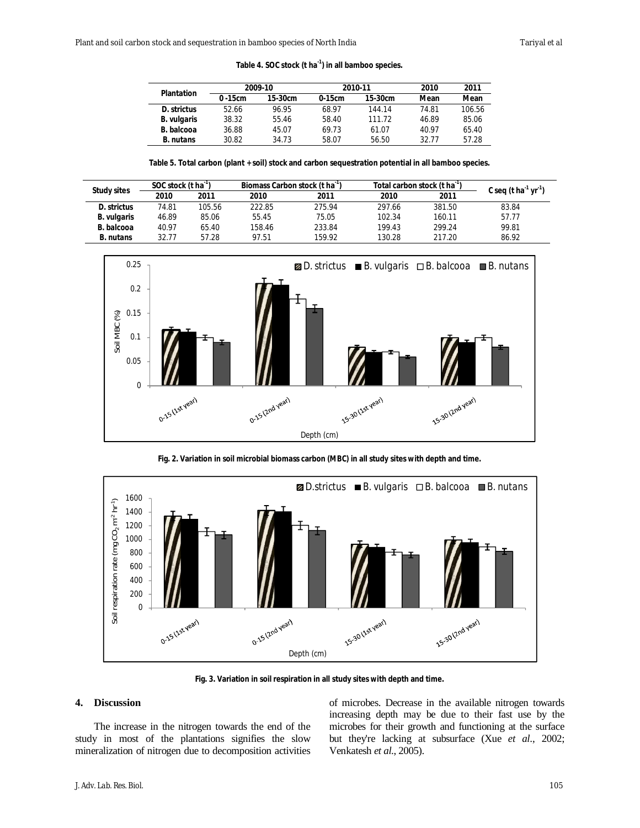**Table 4. SOC stock (t ha-1 ) in all bamboo species.**

| <b>Plantation</b>  |             | 2009-10   |          | 2010-11   | 2010  | 2011   |
|--------------------|-------------|-----------|----------|-----------|-------|--------|
|                    | $0 - 15$ cm | $15-30cm$ | $0-15cm$ | $15-30cm$ | Mean  | Mean   |
| D. strictus        | 52.66       | 96.95     | 68.97    | 144.14    | 74.81 | 106.56 |
| <b>B.</b> vulgaris | 38.32       | 55.46     | 58.40    | 111.72    | 46.89 | 85.06  |
| B. balcooa         | 36.88       | 45.07     | 69.73    | 61.07     | 40.97 | 65.40  |
| <b>B.</b> nutans   | 30.82       | 34.73     | 58.07    | 56.50     | 32.77 | 57.28  |

**Table 5. Total carbon (plant + soil) stock and carbon sequestration potential in all bamboo species.**

|                    | SOC stock (t ha') |        | Biomass Carbon stock (t ha ') |        | Total carbon stock (t ha ') | C seq (t ha <sup>-1</sup> yr <sup>-1</sup> ) |       |
|--------------------|-------------------|--------|-------------------------------|--------|-----------------------------|----------------------------------------------|-------|
| <b>Study sites</b> | 2010              | 2011   | 2010                          | 2011   | 2010                        | 2011                                         |       |
| D. strictus        | 74.81             | 105.56 | 222.85                        | 275.94 | 297.66                      | 381.50                                       | 83.84 |
| <b>B.</b> vulgaris | 46.89             | 85.06  | 55.45                         | 75.05  | 102.34                      | 160.11                                       | 57.77 |
| B. balcooa         | 40.97             | 65.40  | 158.46                        | 233.84 | 199.43                      | 299.24                                       | 99.81 |
| <b>B.</b> nutans   | 32.77             | 57.28  | 97.51                         | 159.92 | 130.28                      | 217.20                                       | 86.92 |



**Fig. 2. Variation in soil microbial biomass carbon (MBC) in all study sites with depth and time.**



**Fig. 3. Variation in soil respiration in all study sites with depth and time.**

### **4. Discussion**

The increase in the nitrogen towards the end of the study in most of the plantations signifies the slow mineralization of nitrogen due to decomposition activities

of microbes. Decrease in the available nitrogen towards increasing depth may be due to their fast use by the microbes for their growth and functioning at the surface but they're lacking at subsurface (Xue *et al*., 2002; Venkatesh *et al*., 2005).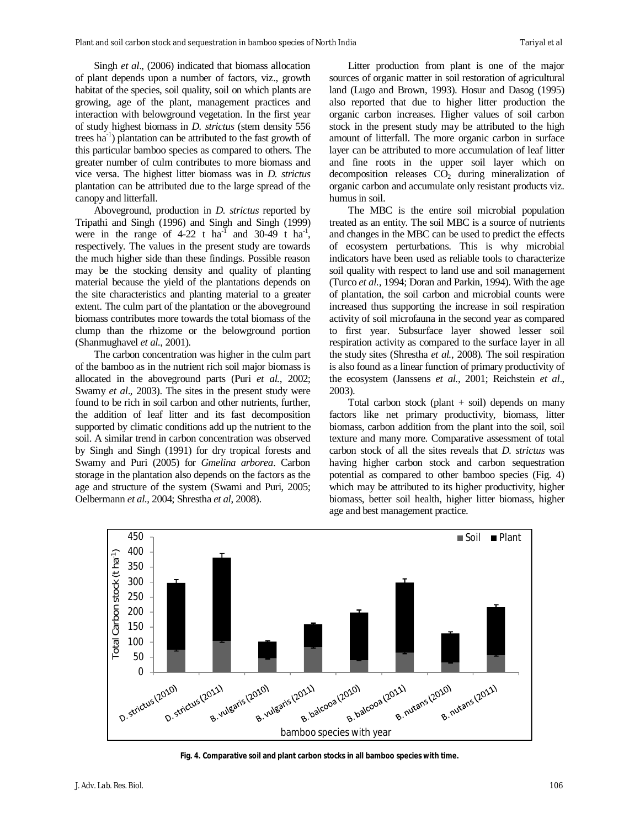Singh *et al*., (2006) indicated that biomass allocation of plant depends upon a number of factors, viz., growth habitat of the species, soil quality, soil on which plants are growing, age of the plant, management practices and interaction with belowground vegetation. In the first year of study highest biomass in *D. strictus* (stem density 556 trees ha<sup>-1</sup>) plantation can be attributed to the fast growth of this particular bamboo species as compared to others. The greater number of culm contributes to more biomass and vice versa. The highest litter biomass was in *D. strictus* plantation can be attributed due to the large spread of the canopy and litterfall.

Aboveground, production in *D. strictus* reported by Tripathi and Singh (1996) and Singh and Singh (1999) were in the range of  $4-22$  t ha<sup>-1</sup> and  $30-49$  t ha<sup>-1</sup>, respectively. The values in the present study are towards the much higher side than these findings. Possible reason may be the stocking density and quality of planting material because the yield of the plantations depends on the site characteristics and planting material to a greater extent. The culm part of the plantation or the aboveground biomass contributes more towards the total biomass of the clump than the rhizome or the belowground portion (Shanmughavel *et al.*, 2001).

The carbon concentration was higher in the culm part of the bamboo as in the nutrient rich soil major biomass is allocated in the aboveground parts (Puri *et al.*, 2002; Swamy *et al*., 2003). The sites in the present study were found to be rich in soil carbon and other nutrients, further, the addition of leaf litter and its fast decomposition supported by climatic conditions add up the nutrient to the soil. A similar trend in carbon concentration was observed by Singh and Singh (1991) for dry tropical forests and Swamy and Puri (2005) for *Gmelina arborea*. Carbon storage in the plantation also depends on the factors as the age and structure of the system (Swami and Puri, 2005; Oelbermann *et al*., 2004; Shrestha *et al*, 2008).

Litter production from plant is one of the major sources of organic matter in soil restoration of agricultural land (Lugo and Brown, 1993). Hosur and Dasog (1995) also reported that due to higher litter production the organic carbon increases. Higher values of soil carbon stock in the present study may be attributed to the high amount of litterfall. The more organic carbon in surface layer can be attributed to more accumulation of leaf litter and fine roots in the upper soil layer which on decomposition releases  $CO<sub>2</sub>$  during mineralization of organic carbon and accumulate only resistant products viz. humus in soil.

The MBC is the entire soil microbial population treated as an entity. The soil MBC is a source of nutrients and changes in the MBC can be used to predict the effects of ecosystem perturbations. This is why microbial indicators have been used as reliable tools to characterize soil quality with respect to land use and soil management (Turco *et al.,* 1994; Doran and Parkin, 1994). With the age of plantation, the soil carbon and microbial counts were increased thus supporting the increase in soil respiration activity of soil microfauna in the second year as compared to first year. Subsurface layer showed lesser soil respiration activity as compared to the surface layer in all the study sites (Shrestha *et al.*, 2008). The soil respiration is also found as a linear function of primary productivity of the ecosystem (Janssens *et al.*, 2001; Reichstein *et al*., 2003).

Total carbon stock (plant  $+$  soil) depends on many factors like net primary productivity, biomass, litter biomass, carbon addition from the plant into the soil, soil texture and many more. Comparative assessment of total carbon stock of all the sites reveals that *D. strictus* was having higher carbon stock and carbon sequestration potential as compared to other bamboo species (Fig. 4) which may be attributed to its higher productivity, higher biomass, better soil health, higher litter biomass, higher age and best management practice.



**Fig. 4. Comparative soil and plant carbon stocks in all bamboo species with time.**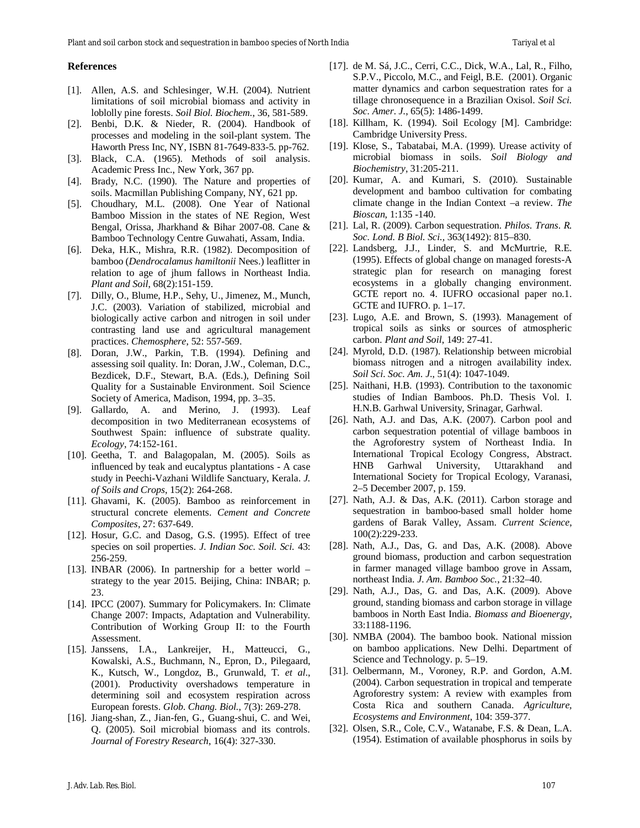#### **References**

- [1]. Allen, A.S. and Schlesinger, W.H. (2004). Nutrient limitations of soil microbial biomass and activity in loblolly pine forests. *Soil Biol. Biochem.*, 36, 581-589.
- [2]. Benbi, D.K. & Nieder, R. (2004). Handbook of processes and modeling in the soil-plant system. The Haworth Press Inc, NY, ISBN 81-7649-833-5. pp-762.
- [3]. Black, C.A. (1965). Methods of soil analysis. Academic Press Inc., New York, 367 pp.
- [4]. Brady, N.C. (1990). The Nature and properties of soils. Macmillan Publishing Company, NY, 621 pp.
- [5]. Choudhary, M.L. (2008). One Year of National Bamboo Mission in the states of NE Region, West Bengal, Orissa, Jharkhand & Bihar 2007-08. Cane & Bamboo Technology Centre Guwahati, Assam, India.
- [6]. Deka, H.K., Mishra, R.R. (1982). Decomposition of bamboo (*Dendrocalamus hamiltonii* Nees.) leaflitter in relation to age of jhum fallows in Northeast India. *Plant and Soil*, 68(2):151-159.
- [7]. Dilly, O., Blume, H.P., Sehy, U., Jimenez, M., Munch, J.C. (2003). Variation of stabilized, microbial and biologically active carbon and nitrogen in soil under contrasting land use and agricultural management practices. *Chemosphere*, 52: 557-569.
- [8]. Doran, J.W., Parkin, T.B. (1994). Defining and assessing soil quality. In: Doran, J.W., Coleman, D.C., Bezdicek, D.F., Stewart, B.A. (Eds.), Defining Soil Quality for a Sustainable Environment. Soil Science Society of America, Madison, 1994, pp. 3–35.
- [9]. Gallardo, A. and Merino, J. (1993). Leaf decomposition in two Mediterranean ecosystems of Southwest Spain: influence of substrate quality. *Ecology*, 74:152-161.
- [10]. Geetha, T. and Balagopalan, M. (2005). Soils as influenced by teak and eucalyptus plantations - A case study in Peechi-Vazhani Wildlife Sanctuary, Kerala. *J. of Soils and Crops*, 15(2): 264-268.
- [11]. Ghavami, K. (2005). Bamboo as reinforcement in structural concrete elements. *Cement and Concrete Composites*, 27: 637-649.
- [12]. Hosur, G.C. and Dasog, G.S. (1995). Effect of tree species on soil properties. *J. Indian Soc. Soil. Sci.* 43: 256-259.
- [13]. INBAR (2006). In partnership for a better world strategy to the year 2015. Beijing, China: INBAR; p. 23.
- [14]. IPCC (2007). Summary for Policymakers. In: Climate Change 2007: Impacts, Adaptation and Vulnerability. Contribution of Working Group II: to the Fourth Assessment.
- [15]. Janssens, I.A., Lankreijer, H., Matteucci, G., Kowalski, A.S., Buchmann, N., Epron, D., Pilegaard, K., Kutsch, W., Longdoz, B., Grunwald, T. *et al*., (2001). Productivity overshadows temperature in determining soil and ecosystem respiration across European forests. *Glob. Chang. Biol.*, 7(3): 269-278.
- [16]. Jiang-shan, Z., Jian-fen, G., Guang-shui, C. and Wei, Q. (2005). Soil microbial biomass and its controls. *Journal of Forestry Research*, 16(4): 327-330.
- [17]. de M. Sá, J.C., Cerri, C.C., Dick, W.A., Lal, R., Filho, S.P.V., Piccolo, M.C., and Feigl, B.E. (2001). Organic matter dynamics and carbon sequestration rates for a tillage chronosequence in a Brazilian Oxisol. *Soil Sci. Soc. Amer. J.*, 65(5): 1486-1499.
- [18]. Killham, K. (1994). Soil Ecology [M]. Cambridge: Cambridge University Press.
- [19]. Klose, S., Tabatabai, M.A. (1999). Urease activity of microbial biomass in soils. *Soil Biology and Biochemistry*, 31:205-211.
- [20]. Kumar, A. and Kumari, S. (2010). Sustainable development and bamboo cultivation for combating climate change in the Indian Context –a review. *The Bioscan*, 1:135 -140.
- [21]. Lal, R. (2009). Carbon sequestration. *Philos. Trans. R. Soc. Lond. B Biol. Sci.,* 363(1492): 815–830.
- [22]. Landsberg, J.J., Linder, S. and McMurtrie, R.E. (1995). Effects of global change on managed forests-A strategic plan for research on managing forest ecosystems in a globally changing environment. GCTE report no. 4. IUFRO occasional paper no.1. GCTE and IUFRO. p. 1–17.
- [23]. Lugo, A.E. and Brown, S. (1993). Management of tropical soils as sinks or sources of atmospheric carbon. *Plant and Soil*, 149: 27-41.
- [24]. Myrold, D.D. (1987). Relationship between microbial biomass nitrogen and a nitrogen availability index. *Soil Sci. Soc. Am. J.*, 51(4): 1047-1049.
- [25]. Naithani, H.B. (1993). Contribution to the taxonomic studies of Indian Bamboos. Ph.D. Thesis Vol. I. H.N.B. Garhwal University, Srinagar, Garhwal.
- [26]. Nath, A.J. and Das, A.K. (2007). Carbon pool and carbon sequestration potential of village bamboos in the Agroforestry system of Northeast India. In International Tropical Ecology Congress, Abstract. HNB Garhwal University, Uttarakhand and International Society for Tropical Ecology, Varanasi, 2–5 December 2007, p. 159.
- [27]. Nath, A.J. & Das, A.K. (2011). Carbon storage and sequestration in bamboo-based small holder home gardens of Barak Valley, Assam. *Current Science*, 100(2):229-233.
- [28]. Nath, A.J., Das, G. and Das, A.K. (2008). Above ground biomass, production and carbon sequestration in farmer managed village bamboo grove in Assam, northeast India. *J. Am. Bamboo Soc.*, 21:32–40.
- [29]. Nath, A.J., Das, G. and Das, A.K. (2009). Above ground, standing biomass and carbon storage in village bamboos in North East India. *Biomass and Bioenergy*, 33:1188-1196.
- [30]. NMBA (2004). The bamboo book. National mission on bamboo applications. New Delhi. Department of Science and Technology. p. 5–19.
- [31]. Oelbermann, M., Voroney, R.P. and Gordon, A.M. (2004). Carbon sequestration in tropical and temperate Agroforestry system: A review with examples from Costa Rica and southern Canada. *Agriculture, Ecosystems and Environment*, 104: 359-377.
- [32]. Olsen, S.R., Cole, C.V., Watanabe, F.S. & Dean, L.A. (1954). Estimation of available phosphorus in soils by